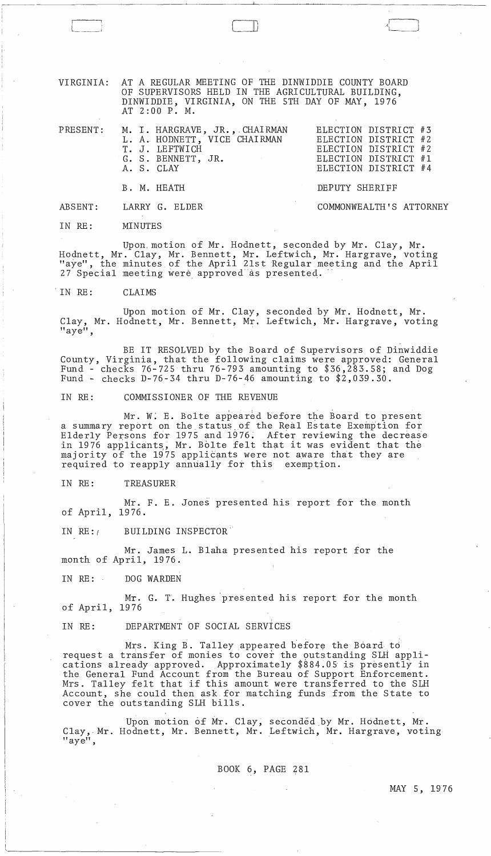VIRGINIA: AT A REGULAR MEETING OF THE DINWIDDIE COUNTY BOARD OF SUPERVISORS HELD IN THE AGRICULTURAL BUILDING, DINWIDDIE, VIRGINIA, ON THE 5TH DAY OF MAY, 1976 AT 2:00 P. M.

|  | PRESENT: M. I. HARGRAVE, JR., CHAIRMAN<br>L. A. HODNETT, VICE CHAIRMAN<br>T. J. LEFTWICH<br>G. S. BENNETT, JR.<br>A. S. CLAY | ELECTION DISTRICT #3<br>ELECTION DISTRICT #2<br>ELECTION DISTRICT #2<br>ELECTION DISTRICT #1<br>ELECTION DISTRICT #4 |  |
|--|------------------------------------------------------------------------------------------------------------------------------|----------------------------------------------------------------------------------------------------------------------|--|
|  | B. M. HEATH                                                                                                                  | DEPUTY SHERIFF                                                                                                       |  |
|  | ABSENT: LARRY G. ELDER                                                                                                       | COMMONWEALTH'S ATTORNEY                                                                                              |  |

IN RE: MINUTES

I'

Upon, motion of Mr. Hodnett, seconded by Mr. Clay, Mr. Hodnett, Mr. Clay, Mr. Bennett, Mr. Leftwich, Mr. Hargrave, voting "aye", the minutes of the April 21st Regular meeting and the April 27 Special meeting were approved as presented.

'IN RE: CLAIMS

Upon motion of Mr. Clay, seconded by Mr. Hodnett, Mr. Clay, Mr. Hodnett, Mr. Bennett, Mr. Leftwich, Mr. Hargrave, voting "aye",

BE IT RESOLVED by the Board of Supervisors of Dinwiddie County, Virginia, that the following claims were approved: General Fund - checks 76-725 thru 76-793 amounting to \$36,283.58; and Dog Fund - checks D-76-34 thru D-76-46 amounting to \$2,039.30.

IN RE: COMMISSIONER OF THE REVENUE

Mr. W. E. Bolte appeared before the Board to present a summary report on the status of the Real Estate Exemption for Elderly Persons for 1975 and 1976. After reviewing the decrease in 1976 applicants, Mr. Bolte felt that it was evident that the majority of the 1975 applicants were not aware that they are required to reapply annually for this exemption.

IN RE: TREASURER

Mr. F. E. Jones presented his report for the month of April, 1976.

IN RE: RUILDING INSPECTOR

Mr. James L. Blaha presented his report for the month of April, 1976.

IN RE: DOG WARDEN

Mr. G. T. Hughes presented his report for the month of April, 1976

IN RE: DEPARTMENT OF SOCIAL SERViCES

Mrs. King B. Talley appeared before the Board to request a transfer of monies to cover the outstanding SLH applications already approved. Approximately \$884.05 is presently in the General Fund Account from the Bureau of Support Enforcement. Mrs. Talley felt that if this amount were transferred to the SLH Account, she could then ask for matching funds from the State to cover the outstanding SLH bills.

Upon motion of Mr. Clay, seconded by Mr. Hodnett, Mr. Clay,-Mr. Hodnett, Mr. Bennett, Mr. Leftwich, Mr. Hargrave, voting "aye",

BOOK 6, PAGE 281

 $\mathcal{A}$  is a set of  $\mathcal{A}$  $\Lambda$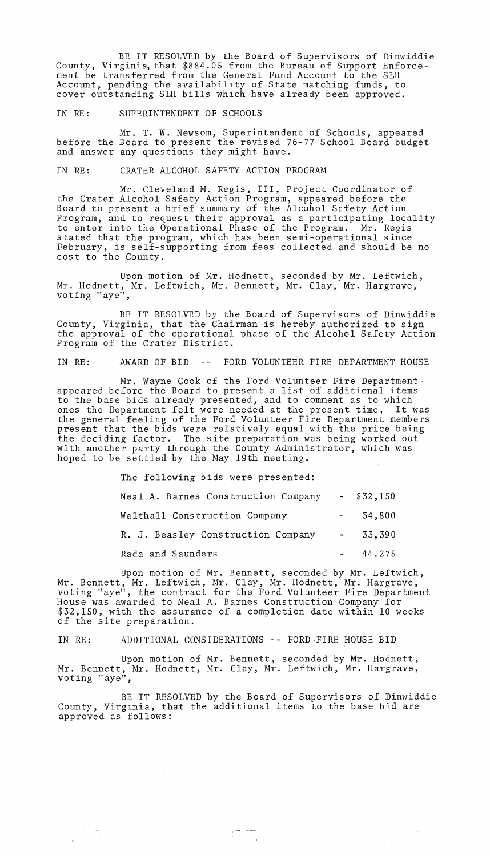BE IT RESOLVED by the Board of Supervisors of Dinwiddie County, Virginia, that \$884.05 from the Bureau of Support Enforcement be transferred from the General Fund Account to the SLH Account, pending the availabillty of State matching funds, to cover outstanding SLH bills which have already been approved.

#### IN RE: SUPERINTENDENT OF SCHOOLS

Mr. T. W. Newsom, Superintendent of Schools, appeared before the Board to present the revised 76-77 School Board budget and answer any questions they might have.

### IN RE: CRATER ALCOHOL SAFETY ACTION PROGRAM

Mr. Cleveland M. Regis, III, Project Coordinator. of the Crater Alcohol Safety Action Program, appeared before the Board to present a brief summary of the Alcohol Safety Action Program, and to request their approval as a participating locality to enter into the Operational Phase of the Program. Mr. Regis stated that the program, which has been semi-operational since February, is self-supporting from fees collected and should be no cost to the County.

Upon motion of Mr. Hodnett, seconded by Mr. Leftwich, Mr. Hodnett, Mr. Leftwich, Mr. Bennett, Mr. Clay, Mr. Hargrave, voting "aye",

BE IT RESOLVED by the Board of Supervisors of Dinwiddie County, Virginia, that the Chairman is hereby authorized to sign the approval of the operational phase of the Alcohol Safety Action Program of the Crater District.

IN RE: AWARD OF BID -- FORD VOLUNTEER FIRE DEPARTMENT HOUSE

Mr. Wayne Cook of the Ford Volunteer Fire Departmentappeared before the Board to present a list of additional items to the base bids already presented, and to comment as to which ones the Department felt were needed at the present time, It was the general feeling of the Ford Volunteer Fire Department members present that the bids were relatively equal with the price being the deciding factor. The site preparation was being worked out with another party through the County Administrator, which was hoped to be settled by the May 19th meeting.

> The following bids were presented: Neal A. Barnes Construction Company Walthall Construction Company R. J. Beasley Construction Company Rada and Saunders \$32,150 34,800 33,390 44.275

Upon motion of Mr. Bennett, seconded by Mr. Leftwich, Mr. Bennett, Mr. Leftwich, Mr. Clay, Mr. Hodnett, Mr. Hargrave, voting "aye", the contract for the Ford Volunteer Fire Department House was awarded to Neal A. Barnes Construction Company for \$32,150, with the assurance of a completion date within 10 weeks of the site preparation.

#### IN RE: ADDITIONAL CONSIDERATIONS -- FORD FIRE HOUSE BID

Upon motion of Mr. Bennett, seconded by Mr. Hodnett, Mr. Bennett, Mr. Hodnett, Mr. Clay, Mr. Leftwich, Mr. Hargrave, voting "aye",

BE IT RESOLVED by the Board of Supervisors of Dinwiddie County, Virginia, that the additional items to the base bid are approved as follows:

 $\begin{array}{cc} \mathcal{F}^{\text{max}} & \mathcal{F}^{\text{max}} \\ \mathcal{F}^{\text{max}} & \mathcal{F}^{\text{max}} \\ \mathcal{F}^{\text{max}} & \mathcal{F}^{\text{max}} \end{array}$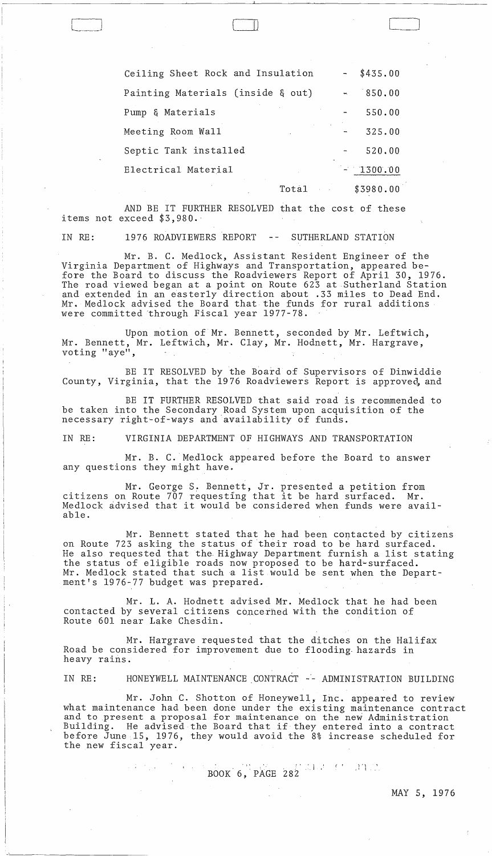| Ceiling Sheet Rock and Insulation |                     | $\frac{1}{2}$ and $\frac{1}{2}$ | \$435.00   |
|-----------------------------------|---------------------|---------------------------------|------------|
| Painting Materials (inside & out) |                     |                                 | 850.00     |
| Pump & Materials                  |                     |                                 | 550.00     |
| Meeting Room Wall                 |                     |                                 | 325.00     |
| Septic Tank installed             |                     |                                 | 520.00     |
| Electrical Material               |                     |                                 | $-1300.00$ |
|                                   | $\alpha=1$<br>Total |                                 | \$3980.00  |

 $\mathsf{\mu}$ 

l

 $\bigcup$ 

AND BE IT FURTHER RESOLVED that the cost of these items not exceed \$3,980.

IN RE: 1976 ROADVIEWERS REPORT -- SUTHERLAND STATION

Mr. B. C. Medlock, Assistant Resident Engineer of the Virginia Department of Highways and Transportation, appeared before the Board to discuss the Roadviewers Report of April 30, 1976. The road viewed began at a point on Route 623 at Sutherland Station and extended in an easterly direction about .33 miles to Dead End. Mr. Medlock advised the Board that the funds for rural additions were committed 'through Fiscal year 1977-78.

Upon motion of Mr. Bennett, seconded by Mr. Leftwich, Mr. Bennett, Mr. Leftwich, Mr. Clay, Mr. Hodnett, Mr. Hargrave, voting "aye",

BE IT RESOLVED by the Board of Supervisors of Dinwiddie County, Virginia, that the 1976 Roadviewers Report is approved, and

BE IT FURTHER RESOLVED that said road is recommended to be taken into the Secondary Road System upon acquisition of the necessary right-of-ways and availability of funds.

IN RE: VIRGINIA DEPARTMENT OF HIGHWAYS AND TRANSPORTATION

Mr. B. C. Medlock appeared before the Board to answer any questions they might have.

Mr. George S. Bennett, Jr. presented a petition from citizens on Route 707 requesting that it be hard surfaced. Mr. Medlock advised that it would be considered when funds were available.

Mr. Bennett stated that he had been contacted by citizens on Route 723 asking the status of their road to be hard surfaced. He also requested that the, Highway Department furnish a list stating the status of eligible roads now proposed to be hard~surfaced. Mr. Medlock stated that such a list would be sent when the Department's 1976-77 budget was prepared.

Mr. L. A. Hodnett advised Mr. Medlock that he had been contacted by several citizens concerned with the condition of Route 601 near Lake Chesdin.

Mr. Hargrave requested that the ditches on the Halifax Road be considered for improvement due to flooding. hazards in heavy rains.

IN RE: HONEYWELL MAINTENANCE CONTRACT -- ADMINISTRATION BUILDING

Mr. John C. Shotton of Honeywell, Inc. appeared to review what maintenance had been done under the existing maintenance contract and to present a proposal for maintenance on the new Administration and to present a proposar for maintenance on the new Administration<br>Building. He advised the Board that if they entered into a contract before June 15, 1976, they would avoid the 8% increase scheduled for the new fiscal year.

> $\cdots$ BOOK' 6,'PAGE 282  $\mathcal{O}(\frac{1}{\sqrt{2}})$

> > $\mathcal{A}(\mathcal{A})$  and  $\mathcal{A}(\mathcal{A})$

MAY 5, 1976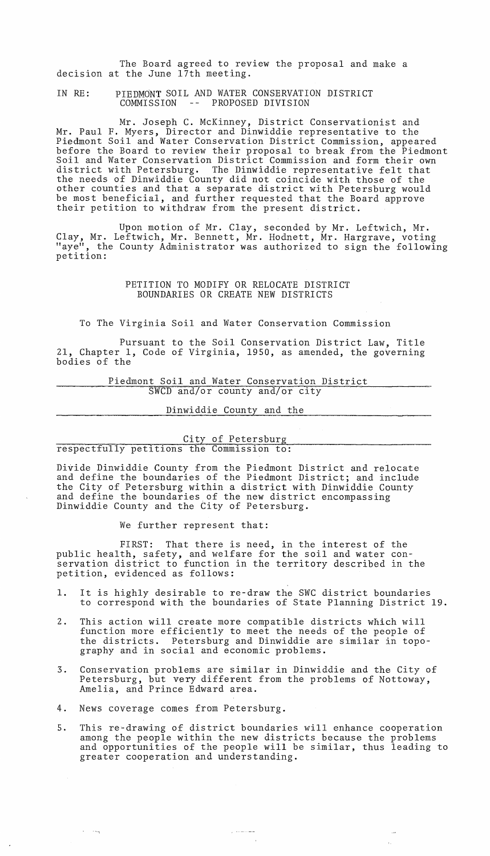The Board agreed to review the proposal and make a decision at the June 17th meeting.

IN RE: PIEDMONT SOIL AND WATER CONSERVATION DISTRICT COMMISSION -- PROPOSED DIVISION

Mr. Joseph C. McKinney, District Conservationist and Mr. Paul F. Myers, Director and Dinwiddie representative to the Piedmont Soil and Water Conservation District Commission, appeared before the Board to review their proposal to break from the Piedmont Soil and Water Conservation District Commission and form their own district with Petersburg. The Dinwiddie representative felt that the needs of Dinwiddie County did not coincide with those of the other counties and that a separate district with Petersburg would be most beneficial, and further requested that the Board approve their petition to withdraw from the present district.

Upon motion of Mr. Clay, seconded by Mr. Leftwich, Mr. Clay, Mr. Leftwich, Mr. Bennett, Mr. Hodnett, Mr. Hargrave, voting "aye", the County Administrator was authorized to sign the following petition:

# PETITION TO MODIFY OR RELOCATE DISTRICT BOUNDARIES OR CREATE NEW DISTRICTS

To The Virginia Soil and Water Conservation Commission

Pursuant to the Soil Conservation District Law, Title 21, Chapter 1, Code of Virginia, 1950, as amended, the governing bodies of the

> Piedmont Soil and Water Conservation District  $SWCD$  and/or county and/or city

> > Dinwiddie County and the

City of Petersburg<br>respectfully petitions the Commission to:

Divide Dinwiddie County from the Piedmont District and relocate and define the boundaries of the Piedmont District; and include the City of Petersburg within a district with Dinwiddie County and define the boundaries of the new district encompassing Dinwiddie County and the City of Petersburg.

We further represent that:

FIRST: That there is need, in the interest of the public health, safety, and welfare for the soil and water conservation district to function in the territory described in the petition, evidenced as follows:

- 1. It is highly desirable to re-draw the SWC district boundaries to correspond with the boundaries of State Planning District 19.
- 2. This action will create more compatible districts which will function more efficiently to meet the needs of the people of the districts. Petersburg and Dinwiddie are similar in topography and in social and economic problems.
- 3. Conservation problems are similar in Dinwiddie and the City of Petersburg, but very different from the problems of Nottoway, Amelia, and Prince Edward area.
- 4. News coverage comes from Petersburg.
- 5. This re~drawing of district boundaries will enhance cooperation among the people within the new districts because the problems and opportunities of the people will be similar, thus leading to greater cooperation and understanding.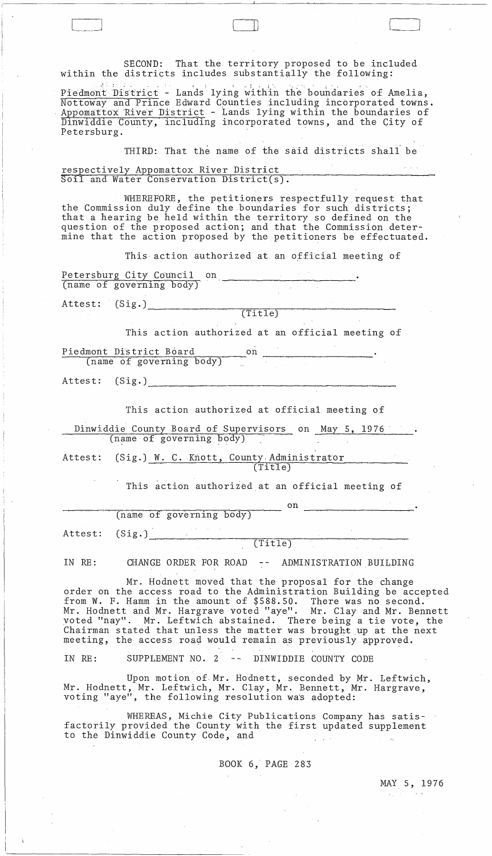-~-~~-~ ] --- SECOND: That the territory proposed to be included within the districts includes substantially the following: the districts includes substantially the follow Piedmont District - Lands lying within the boundaries of Amelia, Nottoway and Prince Edward Cpunties including incorporated towns. Appomattox River District - Lands lying within the boundaries of Dinwiddie County, including incorporated towns, and the City of Petersburg. THIRD: That the name of the said districts shall be respectively Appomattox River District  $\overline{\text{Soil}}$  and Water Conservation District(s). WHEREFORE, the petitioners respectfully request that the Commission duly define the boundaries for such districts; that a hearing be held within the territory so defined on the question of the proposed action; and that the Commission determine that the action proposed by the petitioners be effectuated. This action authorized at an official meeting of Petersburg City Council on (name of governing body) Attest: (Sig.)\_, \_\_\_\_\_\_ ~ \_\_\_\_\_\_ ~~~ \_\_ ~----\_\_\_\_\_\_\_\_ \_\_ (Ti tIe) This action authorized at an official meeting of Piedmont District Board on (name of governing body)  $(Sig.)$ Attest: This action authorized at official meeting of Dinwiddie County Board of Supervisors on May 5, 1976 (name of governing body) Attest: (Sig.) W. C. Knott, County Administrator . . , ... (Title) This action authorized at an official meeting of on (name of governing body) (S ig .') ~~~,.......,..,...~~--....,,-;;:~-=--::---'"~-~~--c---- (Ti tIe) Attest: IN RE: CHANGE ORDER FOR ROAD -- ADMINISTRATION BUILDING Mr. Hodnett moved that the proposal for the change order on the access road to the Administration Building be accepted from W. F. Hamm in the amount of \$588.50. There was no second. Mr. Hodnett and Mr. Hargrave voted "aye". Mr. Clay and Mr. Bennett voted "nay". Mr. Leftwich abstained. There being a tie vote, the Chairman stated that unless the matter was brought up at the next meeting, the access road would remain as previously approved. IN RE: SUPPLEMENT NO. 2 -- DINWIDDIE COUNTY CODE Upon motion of. Mr. Hodnett, seconded by Mr. Leftwich, Mr. Hodnett, Mr. Leftwich, Mr. Clay, Mr. Bennett, Mr. Hargrave, voting "aye", the following resolution was adopted:

 $\mathbb{R}$  is a set  $\mathbb{R}$ 

WHEREAS, Michie City Publications Company has satisfactorily provided the County with the first updated supplement to the Dinwiddie County Code, and

BOOK 6, PAGE 283

MAY 5, 1976

 $\langle \varphi_{\rm{in}} \rangle$  ,  $\gamma$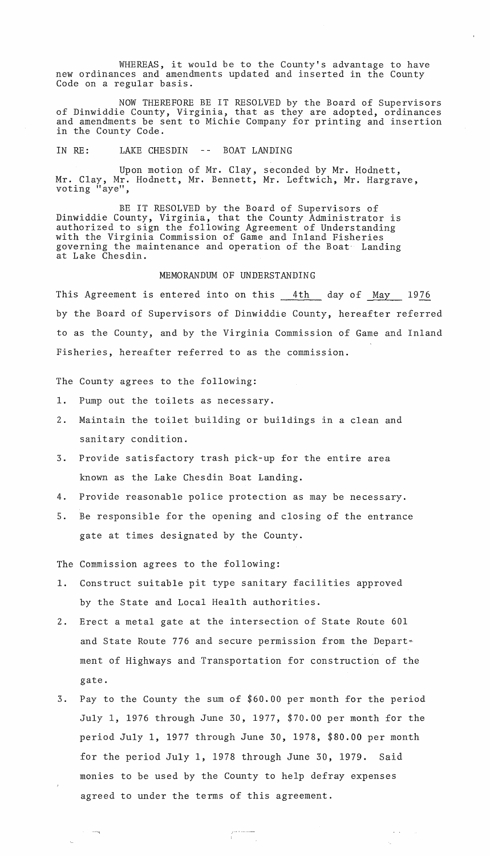WHEREAS, it would be to the County's advantage to have new ordinances and amendments updated and inserted in the County Code on a regular basis.

NOW THEREFORE BE IT RESOLVED by the Board of Supervisors of Dinwiddie County, Virginia, that as they are adopted, ordinances and amendments be sent to Michie Company for printing and insertion in the County Code.

IN RE: LAKE CHESDIN -- BOAT LANDING

Upon motion of Mr. Clay, seconded by Mr. Hodnett, Mr. Clay, Mr. Hodnett, Mr. Bennett, Mr. Leftwich, Mr. Hargrave, voting "aye",

BE IT RESOLVED by the Board of Supervisors of Dinwiddie County, Virginia, that the County Administrator is authorized to sign the following Agreement of Understanding with the Virginia Commission of Game and Inland Fisheries governing the maintenance and operation of the Boat- Landing at Lake Chesdin.

## MEMORANDUM OF UNDERSTANDING

This Agreement is entered into on this 4th day of May 1976 by the Board of Supervisors of Dinwiddie County, hereafter referred to as the County, and by the Virginia Commission of Game and Inland Fisheries, hereafter referred to as the commission.

The County agrees to the following:

- 1. Pump out the toilets as necessary.
- 2. Maintain the toilet building or buildings in a clean and sanitary condition.
- 3. Provide satisfactory trash pick-up for the entire area known as the Lake Chesdin Boat Landing.
- 4. Provide reasonable police protection as may be necessary.
- 5. Be responsible for the opening and closing of the entrance gate at times designated by the County.

The Commission agrees to the following:

--....

- 1. Construct suitable pit type sanitary facilities approved by the State and Local Health authorities.
- 2. Erect a metal gate at the intersection of State Route 601 and State Route 776 and secure permission from the Department of Highways and Transportation for construction of the gate.
- 3. Pay to the County the sum of \$60.00 per month for the period July 1, 1976 through June 30, 1977, \$70.00 per month for the period July 1, 1977 through June 30, 1978, \$80.00 per month for the period July 1, 1978 through June 30, 1979. Said monies to be used by the County to help defray expenses agreed to under the terms of this agreement.

 $\frac{1}{2}$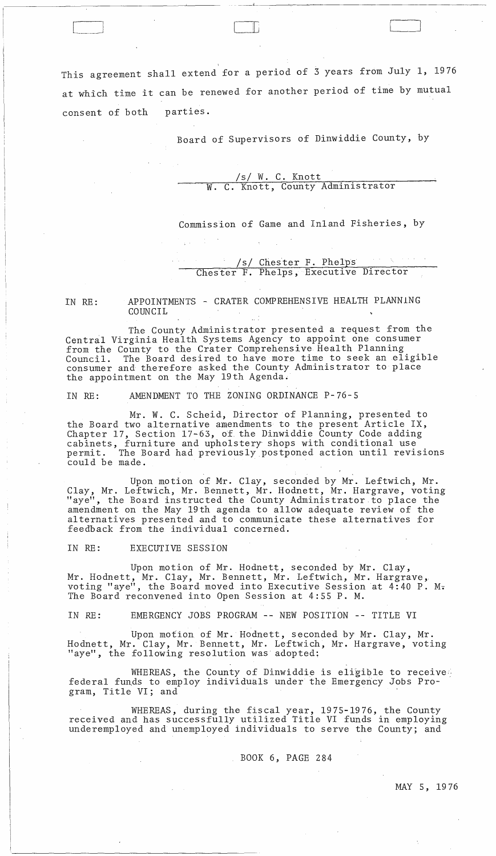This agreement shall extend for a period of 3 years from July 1, 1976 at which time it can be renewed for another period of time by mutual consent of both parties.

 $\Box$ 

Board of Supervisors of Dinwiddie County, by

\_\_ ~J\_ ~\_~~~ \_\_\_\_\_\_\_\_\_\_\_\_\_\_\_\_ \_

/s/ W. C. Knott W. C. Knott, County Administrator

Commission of Game and Inland Fisheries, by

/s/ Chester F. Phelps Chester F. Phelps, Executive Director

IN RE: APPOINTMENTS - CRATER COMPREHENSIVE HEALTH PLANNING COUNCIL

The County Administrator presented a request from the Central Virginia Health Systems Agency to appoint one consumer from the County to the Crater Comprehensive Health Planning Council. The Board desired to have more time to seek an eligible consumer and therefore asked the County Administrator to place the appointment on the May 19th Agenda.

IN RE: AMENDMENT TO THE ZONING ORDINANCE P-76-5

Mr. W. C. Scheid, Director of Planning, presented to the Board two alternative amendments to the present Article IX, Chapter 17, Section 17-63, of the Dinwiddie County Code adding cabinets, furniture and upholstery shops with conditional use permit. The Board had previously postponed action until revisions could be made.

Upon motion of Mr. Clay, seconded by Mr. Leftwich, Mr. Clay, Mr. Leftwich, Mr. Bennett, Mr. Hodnett, Mr. Hargrave, voting "aye", the Board instructed the County Administrator. to place the amendment on the May 19th agenda to allow adequate review of the alternatives presented and to communicate these alternatives for feedback from the individual concerned.

IN RE: EXECUTIVE SESSION

Upon motion of Mr. Hodnett, seconded by Mr. Clay, Mr. Hodnett, Mr. Clay, Mr. Bennett, Mr. Leftwich, Mr. Hargrave, voting "aye", the Board moved into Executive Session at 4:40 P. M. The Board reconvened into Open Session at 4:55 P. M.

IN RE: EMERGENCY JOBS PROGRAM -- NEW POSITION -- TITLE VI

Upon motion of Mr. Hodnett, seconded by Mr. Clay, Mr. Hodnett, Mr. Clay, Mr. Bennett, Mr. Leftwich, Mr. Hargrave, voting "aye", the following resolution was adopted:

WHEREAS, the County of Dinwiddie is eligible to receive federal funds to employ individuals under the Emergency Jobs Program, Title VI; and

WHEREAS, during the fiscal year, 1975-1976, the County received and has successfully utilized Title VI funds in employing underemployed and unemployed individuals to serve the County; and

BOOK 6, PAGE 284

MAY 5, 1976